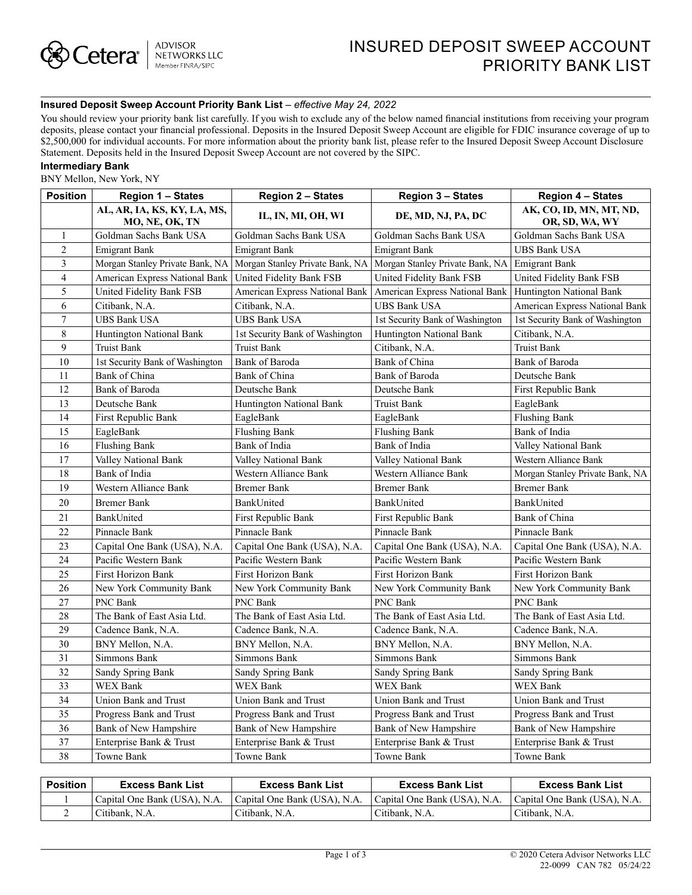## **Insured Deposit Sweep Account Priority Bank List** *– effective May 24, 2022*

You should review your priority bank list carefully. If you wish to exclude any of the below named financial institutions from receiving your program deposits, please contact your financial professional. Deposits in the Insured Deposit Sweep Account are eligible for FDIC insurance coverage of up to \$2,500,000 for individual accounts. For more information about the priority bank list, please refer to the Insured Deposit Sweep Account Disclosure Statement. Deposits held in the Insured Deposit Sweep Account are not covered by the SIPC.

## **Intermediary Bank**

BNY Mellon, New York, NY

| <b>Position</b> | Region 1 - States                             | <b>Region 2 - States</b>        | <b>Region 3 - States</b>        | <b>Region 4 – States</b>                  |  |
|-----------------|-----------------------------------------------|---------------------------------|---------------------------------|-------------------------------------------|--|
|                 | AL, AR, IA, KS, KY, LA, MS,<br>MO, NE, OK, TN | IL, IN, MI, OH, WI              | DE, MD, NJ, PA, DC              | AK, CO, ID, MN, MT, ND,<br>OR, SD, WA, WY |  |
| $\mathbf{1}$    | Goldman Sachs Bank USA                        | Goldman Sachs Bank USA          | Goldman Sachs Bank USA          | Goldman Sachs Bank USA                    |  |
| $\overline{2}$  | <b>Emigrant Bank</b>                          | <b>Emigrant Bank</b>            | <b>Emigrant Bank</b>            | UBS Bank USA                              |  |
| 3               | Morgan Stanley Private Bank, NA               | Morgan Stanley Private Bank, NA | Morgan Stanley Private Bank, NA | <b>Emigrant Bank</b>                      |  |
| $\overline{4}$  | American Express National Bank                | United Fidelity Bank FSB        | United Fidelity Bank FSB        | United Fidelity Bank FSB                  |  |
| 5               | United Fidelity Bank FSB                      | American Express National Bank  | American Express National Bank  | Huntington National Bank                  |  |
| 6               | Citibank, N.A.                                | Citibank, N.A.                  | <b>UBS Bank USA</b>             | American Express National Bank            |  |
| $\tau$          | <b>UBS Bank USA</b>                           | <b>UBS Bank USA</b>             | 1st Security Bank of Washington | 1st Security Bank of Washington           |  |
| 8               | <b>Huntington National Bank</b>               | 1st Security Bank of Washington | <b>Huntington National Bank</b> | Citibank, N.A.                            |  |
| 9               | <b>Truist Bank</b>                            | <b>Truist Bank</b>              | Citibank, N.A.                  | <b>Truist Bank</b>                        |  |
| 10              | 1st Security Bank of Washington               | Bank of Baroda                  | Bank of China                   | Bank of Baroda                            |  |
| 11              | Bank of China                                 | Bank of China                   | Bank of Baroda                  | Deutsche Bank                             |  |
| 12              | Bank of Baroda                                | Deutsche Bank                   | Deutsche Bank                   | First Republic Bank                       |  |
| 13              | Deutsche Bank                                 | Huntington National Bank        | Truist Bank                     | EagleBank                                 |  |
| 14              | First Republic Bank                           | EagleBank                       | EagleBank                       | <b>Flushing Bank</b>                      |  |
| 15              | EagleBank                                     | <b>Flushing Bank</b>            | <b>Flushing Bank</b>            | Bank of India                             |  |
| 16              | <b>Flushing Bank</b>                          | Bank of India                   | Bank of India                   | Valley National Bank                      |  |
| 17              | Valley National Bank                          | Valley National Bank            | Valley National Bank            | Western Alliance Bank                     |  |
| 18              | Bank of India                                 | Western Alliance Bank           | Western Alliance Bank           | Morgan Stanley Private Bank, NA           |  |
| 19              | Western Alliance Bank                         | <b>Bremer Bank</b>              | <b>Bremer Bank</b>              | <b>Bremer Bank</b>                        |  |
| 20              | <b>Bremer Bank</b>                            | BankUnited                      | BankUnited                      | BankUnited                                |  |
| 21              | BankUnited                                    | First Republic Bank             | First Republic Bank             | Bank of China                             |  |
| 22              | Pinnacle Bank                                 | Pinnacle Bank                   | Pinnacle Bank                   | Pinnacle Bank                             |  |
| 23              | Capital One Bank (USA), N.A.                  | Capital One Bank (USA), N.A.    | Capital One Bank (USA), N.A.    | Capital One Bank (USA), N.A.              |  |
| 24              | Pacific Western Bank                          | Pacific Western Bank            | Pacific Western Bank            | Pacific Western Bank                      |  |
| 25              | First Horizon Bank                            | First Horizon Bank              | First Horizon Bank              | First Horizon Bank                        |  |
| 26              | New York Community Bank                       | New York Community Bank         | New York Community Bank         | New York Community Bank                   |  |
| 27              | PNC Bank                                      | PNC Bank                        | <b>PNC Bank</b>                 | PNC Bank                                  |  |
| 28              | The Bank of East Asia Ltd.                    | The Bank of East Asia Ltd.      | The Bank of East Asia Ltd.      | The Bank of East Asia Ltd.                |  |
| 29              | Cadence Bank, N.A.                            | Cadence Bank, N.A.              | Cadence Bank, N.A.              | Cadence Bank, N.A.                        |  |
| 30              | BNY Mellon, N.A.                              | BNY Mellon, N.A.                | BNY Mellon, N.A.                | BNY Mellon, N.A.                          |  |
| 31              | Simmons Bank                                  | Simmons Bank                    | Simmons Bank                    | Simmons Bank                              |  |
| 32              | Sandy Spring Bank                             | Sandy Spring Bank               | Sandy Spring Bank               | Sandy Spring Bank                         |  |
| 33              | <b>WEX Bank</b>                               | <b>WEX Bank</b>                 | <b>WEX Bank</b>                 | <b>WEX Bank</b>                           |  |
| 34              | Union Bank and Trust                          | Union Bank and Trust            | Union Bank and Trust            | Union Bank and Trust                      |  |
| 35              | Progress Bank and Trust                       | Progress Bank and Trust         | Progress Bank and Trust         | Progress Bank and Trust                   |  |
| 36              | Bank of New Hampshire                         | Bank of New Hampshire           | Bank of New Hampshire           | Bank of New Hampshire                     |  |
| 37              | Enterprise Bank & Trust                       | Enterprise Bank & Trust         | Enterprise Bank & Trust         | Enterprise Bank & Trust                   |  |
| 38              | Towne Bank                                    | Towne Bank                      | Towne Bank                      | Towne Bank                                |  |

| Position | <b>Excess Bank List</b>      | <b>Excess Bank List</b>      | <b>Excess Bank List</b>      | Excess Bank List             |
|----------|------------------------------|------------------------------|------------------------------|------------------------------|
|          | Capital One Bank (USA), N.A. | Capital One Bank (USA), N.A. | Capital One Bank (USA), N.A. | Capital One Bank (USA), N.A. |
|          | Citibank, N.A.               | Citibank. N.A.               | Citibank. N.A.               | ' Citibank. N.A.             |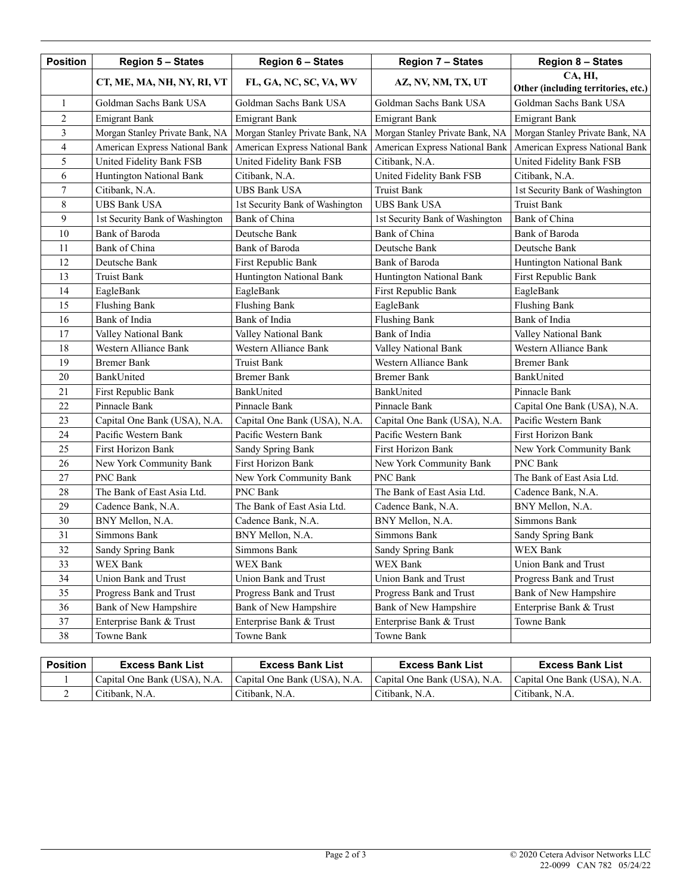| <b>Position</b> | <b>Region 5 - States</b>                                             | <b>Region 6 - States</b>        | <b>Region 7 - States</b>        | <b>Region 8 - States</b>                       |  |
|-----------------|----------------------------------------------------------------------|---------------------------------|---------------------------------|------------------------------------------------|--|
|                 | CT, ME, MA, NH, NY, RI, VT                                           | FL, GA, NC, SC, VA, WV          | AZ, NV, NM, TX, UT              | CA, HI,<br>Other (including territories, etc.) |  |
| $\mathbf{1}$    | Goldman Sachs Bank USA                                               | Goldman Sachs Bank USA          | Goldman Sachs Bank USA          | Goldman Sachs Bank USA                         |  |
| $\overline{c}$  | <b>Emigrant Bank</b>                                                 | <b>Emigrant Bank</b>            | <b>Emigrant Bank</b>            | <b>Emigrant Bank</b>                           |  |
| 3               | Morgan Stanley Private Bank, NA                                      | Morgan Stanley Private Bank, NA | Morgan Stanley Private Bank, NA | Morgan Stanley Private Bank, NA                |  |
| $\overline{4}$  | American Express National Bank                                       | American Express National Bank  | American Express National Bank  | American Express National Bank                 |  |
| 5               | United Fidelity Bank FSB                                             | United Fidelity Bank FSB        | Citibank, N.A.                  | United Fidelity Bank FSB                       |  |
| 6               | Huntington National Bank                                             | Citibank, N.A.                  | United Fidelity Bank FSB        | Citibank, N.A.                                 |  |
| $\tau$          | Citibank, N.A.                                                       | <b>UBS Bank USA</b>             | Truist Bank                     | 1st Security Bank of Washington                |  |
| 8               | <b>UBS Bank USA</b>                                                  | 1st Security Bank of Washington | <b>UBS Bank USA</b>             | <b>Truist Bank</b>                             |  |
| 9               | 1st Security Bank of Washington                                      | Bank of China                   | 1st Security Bank of Washington | Bank of China                                  |  |
| 10              | Bank of Baroda                                                       | Deutsche Bank                   | Bank of China                   | Bank of Baroda                                 |  |
| 11              | Bank of China                                                        | Bank of Baroda                  | Deutsche Bank                   | Deutsche Bank                                  |  |
| 12              | Deutsche Bank                                                        | First Republic Bank             | Bank of Baroda                  | Huntington National Bank                       |  |
| 13              | <b>Truist Bank</b>                                                   | Huntington National Bank        | Huntington National Bank        | First Republic Bank                            |  |
| 14              | EagleBank                                                            | EagleBank                       | First Republic Bank             | EagleBank                                      |  |
| 15              | <b>Flushing Bank</b>                                                 | <b>Flushing Bank</b>            | EagleBank                       | <b>Flushing Bank</b>                           |  |
| 16              | Bank of India                                                        | Bank of India                   | <b>Flushing Bank</b>            | Bank of India                                  |  |
| 17              | Valley National Bank                                                 | Valley National Bank            | Bank of India                   | Valley National Bank                           |  |
| 18              | Western Alliance Bank                                                | Western Alliance Bank           | Valley National Bank            | Western Alliance Bank                          |  |
| 19              | <b>Bremer Bank</b>                                                   | <b>Truist Bank</b>              | Western Alliance Bank           | <b>Bremer Bank</b>                             |  |
| 20              | BankUnited                                                           | <b>Bremer Bank</b>              | <b>Bremer Bank</b>              | BankUnited                                     |  |
| 21              | First Republic Bank                                                  | BankUnited                      | BankUnited                      | Pinnacle Bank                                  |  |
| 22              | Pinnacle Bank                                                        | Pinnacle Bank                   | Pinnacle Bank                   | Capital One Bank (USA), N.A.                   |  |
| 23              | Capital One Bank (USA), N.A.                                         | Capital One Bank (USA), N.A.    | Capital One Bank (USA), N.A.    | Pacific Western Bank                           |  |
| 24              | Pacific Western Bank                                                 | Pacific Western Bank            | Pacific Western Bank            | First Horizon Bank                             |  |
| 25              | <b>First Horizon Bank</b>                                            | Sandy Spring Bank               | <b>First Horizon Bank</b>       | New York Community Bank                        |  |
| 26              | New York Community Bank                                              | <b>First Horizon Bank</b>       | New York Community Bank         | PNC Bank                                       |  |
| 27              | PNC Bank                                                             | New York Community Bank         | PNC Bank                        | The Bank of East Asia Ltd.                     |  |
| 28              | The Bank of East Asia Ltd.                                           | PNC Bank                        | The Bank of East Asia Ltd.      | Cadence Bank, N.A.                             |  |
| 29              | Cadence Bank, N.A.                                                   | The Bank of East Asia Ltd.      | Cadence Bank, N.A.              | BNY Mellon, N.A.                               |  |
| 30              | BNY Mellon, N.A.                                                     | Cadence Bank, N.A.              | BNY Mellon, N.A.                | Simmons Bank                                   |  |
| 31              | Simmons Bank                                                         | BNY Mellon, N.A.                | Simmons Bank                    | Sandy Spring Bank                              |  |
| 32              | Sandy Spring Bank                                                    | Simmons Bank                    | Sandy Spring Bank               | WEX Bank                                       |  |
| 33              | WEX Bank                                                             | <b>WEX Bank</b>                 | WEX Bank                        | Union Bank and Trust                           |  |
| 34              | Union Bank and Trust<br>Union Bank and Trust<br>Union Bank and Trust |                                 | Progress Bank and Trust         |                                                |  |
| 35              | Progress Bank and Trust                                              | Progress Bank and Trust         | Progress Bank and Trust         | Bank of New Hampshire                          |  |
| 36              | Bank of New Hampshire                                                | Bank of New Hampshire           | Bank of New Hampshire           | Enterprise Bank & Trust                        |  |
| 37              | Enterprise Bank & Trust                                              | Enterprise Bank & Trust         | Enterprise Bank & Trust         | Towne Bank                                     |  |
| 38              | Towne Bank                                                           | Towne Bank                      | Towne Bank                      |                                                |  |

| <b>Position</b> | <b>Excess Bank List</b>      | <b>Excess Bank List</b>      | <b>Excess Bank List</b>      | <b>Excess Bank List</b>      |
|-----------------|------------------------------|------------------------------|------------------------------|------------------------------|
|                 | Capital One Bank (USA), N.A. | Capital One Bank (USA), N.A. | Capital One Bank (USA), N.A. | Capital One Bank (USA), N.A. |
|                 | Citibank, N.A.               | Citibank, N.A.               | Citibank, N.A.               | Citibank, N.A.               |